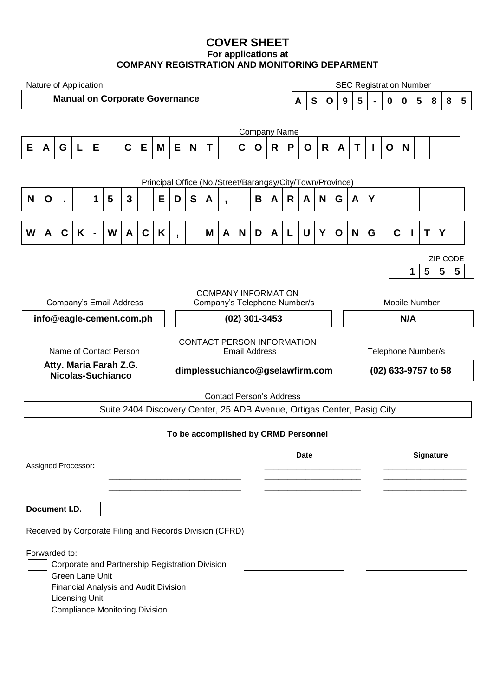# **COVER SHEET For applications at COMPANY REGISTRATION AND MONITORING DEPARMENT**

| Nature of Application                                     |                                                                                                           |                       |   |                |   |              |             | <b>SEC Registration Number</b> |                              |                                 |             |                   |                                      |             |                     |     |                    |                  |                     |   |   |                         |             |  |   |   |  |
|-----------------------------------------------------------|-----------------------------------------------------------------------------------------------------------|-----------------------|---|----------------|---|--------------|-------------|--------------------------------|------------------------------|---------------------------------|-------------|-------------------|--------------------------------------|-------------|---------------------|-----|--------------------|------------------|---------------------|---|---|-------------------------|-------------|--|---|---|--|
| <b>Manual on Corporate Governance</b>                     |                                                                                                           |                       |   |                |   |              |             |                                |                              |                                 |             | $\mathbf{s}$<br>A |                                      | $\mathbf 0$ | $5\phantom{1}$<br>9 |     | $\mathbf 0$        | $\mathbf 0$      | 5                   | 8 | 8 | $\overline{\mathbf{5}}$ |             |  |   |   |  |
|                                                           |                                                                                                           |                       |   |                |   |              |             |                                |                              |                                 |             |                   |                                      |             |                     |     |                    |                  |                     |   |   |                         |             |  |   |   |  |
|                                                           | <b>Company Name</b>                                                                                       |                       |   |                |   |              |             |                                |                              |                                 |             |                   |                                      |             |                     |     |                    |                  |                     |   |   |                         |             |  |   |   |  |
| Е                                                         | A                                                                                                         | G                     | L | E.             |   | $\mathbf C$  | E           | M                              | E.                           | N                               | $\mathbf T$ |                   | C                                    | $\mathbf O$ | R                   | P   | O                  | R                | A                   | T | I | O                       | N           |  |   |   |  |
|                                                           |                                                                                                           |                       |   |                |   |              |             |                                |                              |                                 |             |                   |                                      |             |                     |     |                    |                  |                     |   |   |                         |             |  |   |   |  |
| Principal Office (No./Street/Barangay/City/Town/Province) |                                                                                                           |                       |   |                |   |              |             |                                |                              |                                 |             |                   |                                      |             |                     |     |                    |                  |                     |   |   |                         |             |  |   |   |  |
| N                                                         | O                                                                                                         |                       |   | 1              | 5 | $\mathbf{3}$ |             | Е                              | D                            | S                               | A           | $\mathbf{r}$      |                                      | B           | A                   | R   | A                  | N                | G                   | A | Y |                         |             |  |   |   |  |
| W                                                         | A                                                                                                         | $\mathbf C$           | K | $\blacksquare$ | W | A            | $\mathbf C$ | K                              | $\overline{ }$               |                                 | M           | A                 | N                                    | D           | A                   | L   | U                  | Y                | $\mathbf O$         | N | G |                         | $\mathbf C$ |  | Τ | Υ |  |
| ZIP CODE                                                  |                                                                                                           |                       |   |                |   |              |             |                                |                              |                                 |             |                   |                                      |             |                     |     |                    |                  |                     |   |   |                         |             |  |   |   |  |
|                                                           |                                                                                                           |                       |   |                |   |              |             |                                |                              |                                 |             |                   |                                      |             | 1                   | 5   | 5                  | 5                |                     |   |   |                         |             |  |   |   |  |
| <b>COMPANY INFORMATION</b>                                |                                                                                                           |                       |   |                |   |              |             |                                |                              |                                 |             |                   |                                      |             |                     |     |                    |                  |                     |   |   |                         |             |  |   |   |  |
| Company's Email Address                                   |                                                                                                           |                       |   |                |   |              |             |                                | Company's Telephone Number/s |                                 |             |                   |                                      |             |                     |     | Mobile Number      |                  |                     |   |   |                         |             |  |   |   |  |
| info@eagle-cement.com.ph                                  |                                                                                                           |                       |   |                |   |              |             |                                | (02) 301-3453                |                                 |             |                   |                                      |             |                     | N/A |                    |                  |                     |   |   |                         |             |  |   |   |  |
| CONTACT PERSON INFORMATION                                |                                                                                                           |                       |   |                |   |              |             |                                |                              |                                 |             |                   |                                      |             |                     |     |                    |                  |                     |   |   |                         |             |  |   |   |  |
| Name of Contact Person                                    |                                                                                                           |                       |   |                |   |              |             |                                |                              | <b>Email Address</b>            |             |                   |                                      |             |                     |     | Telephone Number/s |                  |                     |   |   |                         |             |  |   |   |  |
| Atty. Maria Farah Z.G.<br>Nicolas-Suchianco               |                                                                                                           |                       |   |                |   |              |             |                                |                              | dimplessuchianco@gselawfirm.com |             |                   |                                      |             |                     |     |                    |                  | (02) 633-9757 to 58 |   |   |                         |             |  |   |   |  |
|                                                           |                                                                                                           |                       |   |                |   |              |             |                                |                              |                                 |             |                   |                                      |             |                     |     |                    |                  |                     |   |   |                         |             |  |   |   |  |
|                                                           | <b>Contact Person's Address</b><br>Suite 2404 Discovery Center, 25 ADB Avenue, Ortigas Center, Pasig City |                       |   |                |   |              |             |                                |                              |                                 |             |                   |                                      |             |                     |     |                    |                  |                     |   |   |                         |             |  |   |   |  |
|                                                           |                                                                                                           |                       |   |                |   |              |             |                                |                              |                                 |             |                   |                                      |             |                     |     |                    |                  |                     |   |   |                         |             |  |   |   |  |
|                                                           |                                                                                                           |                       |   |                |   |              |             |                                |                              |                                 |             |                   | To be accomplished by CRMD Personnel |             |                     |     |                    |                  |                     |   |   |                         |             |  |   |   |  |
|                                                           |                                                                                                           |                       |   |                |   |              |             |                                |                              | <b>Date</b>                     |             |                   |                                      |             |                     |     |                    | <b>Signature</b> |                     |   |   |                         |             |  |   |   |  |
| Assigned Processor:                                       |                                                                                                           |                       |   |                |   |              |             |                                |                              |                                 |             |                   |                                      |             |                     |     |                    |                  |                     |   |   |                         |             |  |   |   |  |
|                                                           |                                                                                                           |                       |   |                |   |              |             |                                |                              |                                 |             |                   |                                      |             |                     |     |                    |                  |                     |   |   |                         |             |  |   |   |  |
| Document I.D.                                             |                                                                                                           |                       |   |                |   |              |             |                                |                              |                                 |             |                   |                                      |             |                     |     |                    |                  |                     |   |   |                         |             |  |   |   |  |
| Received by Corporate Filing and Records Division (CFRD)  |                                                                                                           |                       |   |                |   |              |             |                                |                              |                                 |             |                   |                                      |             |                     |     |                    |                  |                     |   |   |                         |             |  |   |   |  |
| Forwarded to:                                             |                                                                                                           |                       |   |                |   |              |             |                                |                              |                                 |             |                   |                                      |             |                     |     |                    |                  |                     |   |   |                         |             |  |   |   |  |
| Corporate and Partnership Registration Division           |                                                                                                           |                       |   |                |   |              |             |                                |                              |                                 |             |                   |                                      |             |                     |     |                    |                  |                     |   |   |                         |             |  |   |   |  |
| Green Lane Unit<br>Financial Analysis and Audit Division  |                                                                                                           |                       |   |                |   |              |             |                                |                              |                                 |             |                   |                                      |             |                     |     |                    |                  |                     |   |   |                         |             |  |   |   |  |
|                                                           |                                                                                                           | <b>Licensing Unit</b> |   |                |   |              |             |                                |                              |                                 |             |                   |                                      |             |                     |     |                    |                  |                     |   |   |                         |             |  |   |   |  |
| <b>Compliance Monitoring Division</b>                     |                                                                                                           |                       |   |                |   |              |             |                                |                              |                                 |             |                   |                                      |             |                     |     |                    |                  |                     |   |   |                         |             |  |   |   |  |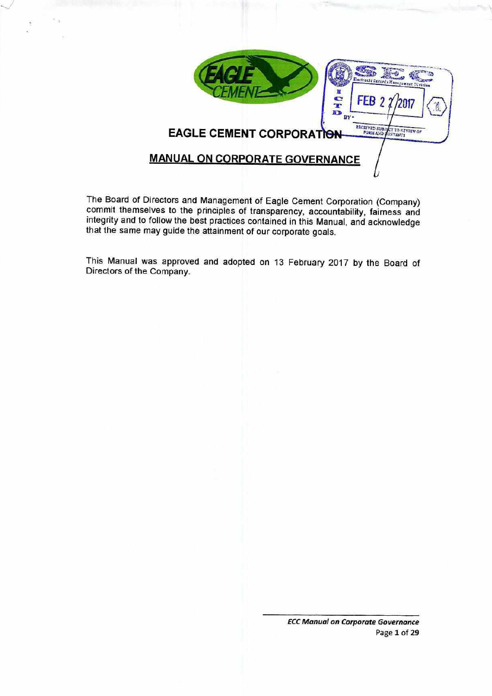

The Board of Directors and Management of Eagle Cement Corporation (Company) commit themselves to the principles of transparency, accountability, fairness and integrity and to follow the best practices contained in this Manual, and acknowledge that the same may guide the attainment of our corporate goals.

This Manual was approved and adopted on 13 February 2017 by the Board of Directors of the Company.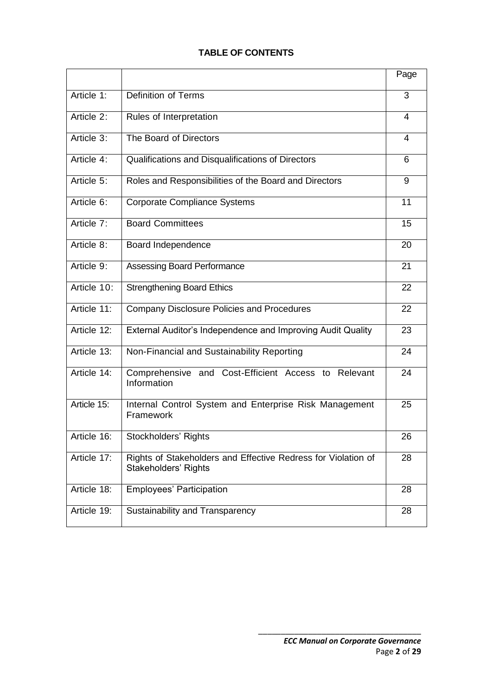# **TABLE OF CONTENTS**

|             |                                                                                       | Page |
|-------------|---------------------------------------------------------------------------------------|------|
| Article 1:  | Definition of Terms                                                                   | 3    |
| Article 2:  | Rules of Interpretation                                                               | 4    |
| Article 3:  | The Board of Directors                                                                | 4    |
| Article 4:  | Qualifications and Disqualifications of Directors                                     | 6    |
| Article 5:  | Roles and Responsibilities of the Board and Directors                                 | 9    |
| Article 6:  | <b>Corporate Compliance Systems</b>                                                   | 11   |
| Article 7:  | <b>Board Committees</b>                                                               | 15   |
| Article 8:  | Board Independence                                                                    | 20   |
| Article 9:  | Assessing Board Performance                                                           | 21   |
| Article 10: | <b>Strengthening Board Ethics</b>                                                     | 22   |
| Article 11: | Company Disclosure Policies and Procedures                                            | 22   |
| Article 12: | External Auditor's Independence and Improving Audit Quality                           | 23   |
| Article 13: | Non-Financial and Sustainability Reporting                                            | 24   |
| Article 14: | Comprehensive and Cost-Efficient Access to Relevant<br>Information                    | 24   |
| Article 15: | Internal Control System and Enterprise Risk Management<br>Framework                   | 25   |
| Article 16: | Stockholders' Rights                                                                  | 26   |
| Article 17: | Rights of Stakeholders and Effective Redress for Violation of<br>Stakeholders' Rights | 28   |
| Article 18: | <b>Employees' Participation</b>                                                       | 28   |
| Article 19: | Sustainability and Transparency                                                       | 28   |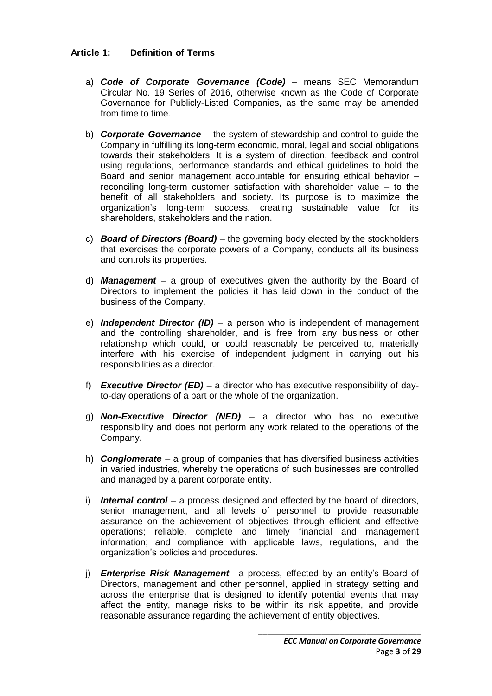# **Article 1: Definition of Terms**

- a) *Code of Corporate Governance (Code)*  means SEC Memorandum Circular No. 19 Series of 2016, otherwise known as the Code of Corporate Governance for Publicly-Listed Companies, as the same may be amended from time to time.
- b) *Corporate Governance* the system of stewardship and control to guide the Company in fulfilling its long-term economic, moral, legal and social obligations towards their stakeholders. It is a system of direction, feedback and control using regulations, performance standards and ethical guidelines to hold the Board and senior management accountable for ensuring ethical behavior – reconciling long-term customer satisfaction with shareholder value – to the benefit of all stakeholders and society. Its purpose is to maximize the organization's long-term success, creating sustainable value for its shareholders, stakeholders and the nation.
- c) *Board of Directors (Board)* the governing body elected by the stockholders that exercises the corporate powers of a Company, conducts all its business and controls its properties.
- d) *Management* a group of executives given the authority by the Board of Directors to implement the policies it has laid down in the conduct of the business of the Company.
- e) *Independent Director (ID)* a person who is independent of management and the controlling shareholder, and is free from any business or other relationship which could, or could reasonably be perceived to, materially interfere with his exercise of independent judgment in carrying out his responsibilities as a director.
- f) *Executive Director (ED)* a director who has executive responsibility of dayto-day operations of a part or the whole of the organization.
- g) *Non-Executive Director (NED)* a director who has no executive responsibility and does not perform any work related to the operations of the Company.
- h) *Conglomerate* a group of companies that has diversified business activities in varied industries, whereby the operations of such businesses are controlled and managed by a parent corporate entity.
- i) *Internal control* a process designed and effected by the board of directors, senior management, and all levels of personnel to provide reasonable assurance on the achievement of objectives through efficient and effective operations; reliable, complete and timely financial and management information; and compliance with applicable laws, regulations, and the organization's policies and procedures.
- j) *Enterprise Risk Management* –a process, effected by an entity's Board of Directors, management and other personnel, applied in strategy setting and across the enterprise that is designed to identify potential events that may affect the entity, manage risks to be within its risk appetite, and provide reasonable assurance regarding the achievement of entity objectives.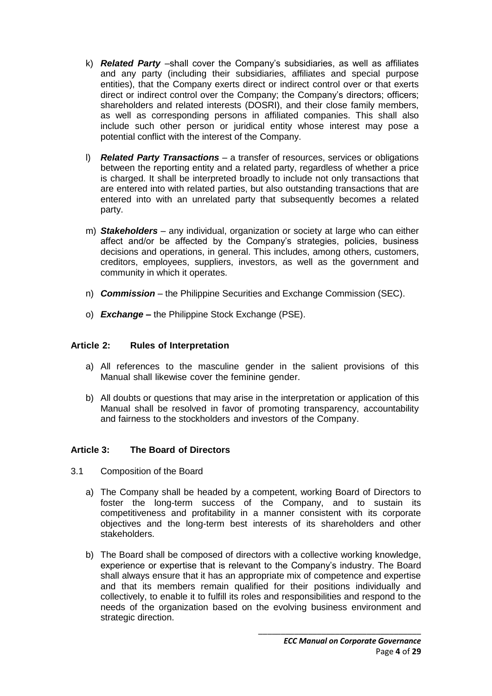- k) *Related Party* –shall cover the Company's subsidiaries, as well as affiliates and any party (including their subsidiaries, affiliates and special purpose entities), that the Company exerts direct or indirect control over or that exerts direct or indirect control over the Company; the Company's directors; officers; shareholders and related interests (DOSRI), and their close family members, as well as corresponding persons in affiliated companies. This shall also include such other person or juridical entity whose interest may pose a potential conflict with the interest of the Company.
- l) *Related Party Transactions* a transfer of resources, services or obligations between the reporting entity and a related party, regardless of whether a price is charged. It shall be interpreted broadly to include not only transactions that are entered into with related parties, but also outstanding transactions that are entered into with an unrelated party that subsequently becomes a related party.
- m) *Stakeholders* any individual, organization or society at large who can either affect and/or be affected by the Company's strategies, policies, business decisions and operations, in general. This includes, among others, customers, creditors, employees, suppliers, investors, as well as the government and community in which it operates.
- n) *Commission* the Philippine Securities and Exchange Commission (SEC).
- o) *Exchange* **–** the Philippine Stock Exchange (PSE).

### **Article 2: Rules of Interpretation**

- a) All references to the masculine gender in the salient provisions of this Manual shall likewise cover the feminine gender.
- b) All doubts or questions that may arise in the interpretation or application of this Manual shall be resolved in favor of promoting transparency, accountability and fairness to the stockholders and investors of the Company.

# **Article 3: The Board of Directors**

- 3.1 Composition of the Board
	- a) The Company shall be headed by a competent, working Board of Directors to foster the long-term success of the Company, and to sustain its competitiveness and profitability in a manner consistent with its corporate objectives and the long-term best interests of its shareholders and other stakeholders.
	- b) The Board shall be composed of directors with a collective working knowledge, experience or expertise that is relevant to the Company's industry. The Board shall always ensure that it has an appropriate mix of competence and expertise and that its members remain qualified for their positions individually and collectively, to enable it to fulfill its roles and responsibilities and respond to the needs of the organization based on the evolving business environment and strategic direction.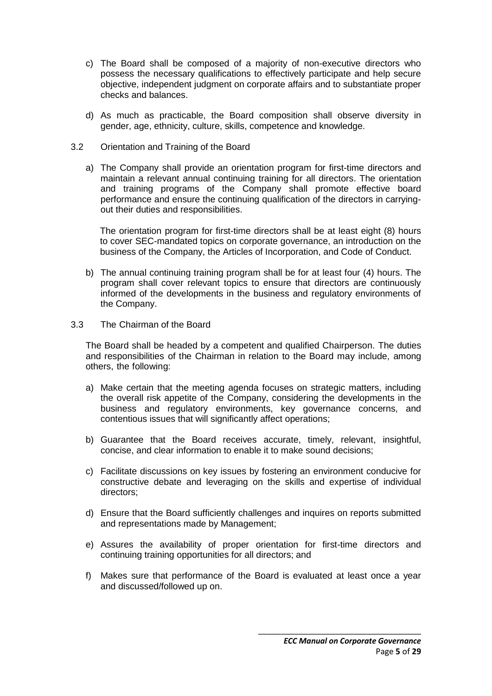- c) The Board shall be composed of a majority of non-executive directors who possess the necessary qualifications to effectively participate and help secure objective, independent judgment on corporate affairs and to substantiate proper checks and balances.
- d) As much as practicable, the Board composition shall observe diversity in gender, age, ethnicity, culture, skills, competence and knowledge.
- 3.2 Orientation and Training of the Board
	- a) The Company shall provide an orientation program for first-time directors and maintain a relevant annual continuing training for all directors. The orientation and training programs of the Company shall promote effective board performance and ensure the continuing qualification of the directors in carryingout their duties and responsibilities.

The orientation program for first-time directors shall be at least eight (8) hours to cover SEC-mandated topics on corporate governance, an introduction on the business of the Company, the Articles of Incorporation, and Code of Conduct.

- b) The annual continuing training program shall be for at least four (4) hours. The program shall cover relevant topics to ensure that directors are continuously informed of the developments in the business and regulatory environments of the Company.
- 3.3 The Chairman of the Board

The Board shall be headed by a competent and qualified Chairperson. The duties and responsibilities of the Chairman in relation to the Board may include, among others, the following:

- a) Make certain that the meeting agenda focuses on strategic matters, including the overall risk appetite of the Company, considering the developments in the business and regulatory environments, key governance concerns, and contentious issues that will significantly affect operations;
- b) Guarantee that the Board receives accurate, timely, relevant, insightful, concise, and clear information to enable it to make sound decisions;
- c) Facilitate discussions on key issues by fostering an environment conducive for constructive debate and leveraging on the skills and expertise of individual directors;
- d) Ensure that the Board sufficiently challenges and inquires on reports submitted and representations made by Management;
- e) Assures the availability of proper orientation for first-time directors and continuing training opportunities for all directors; and
- f) Makes sure that performance of the Board is evaluated at least once a year and discussed/followed up on.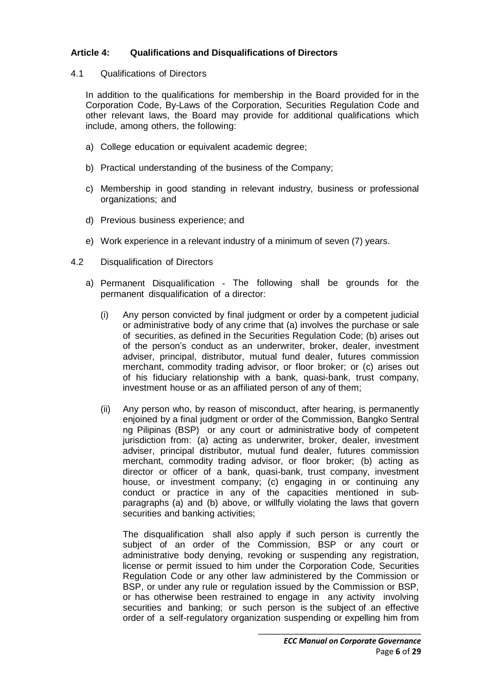# **Article 4: Qualifications and Disqualifications of Directors**

#### 4.1 Qualifications of Directors

In addition to the qualifications for membership in the Board provided for in the Corporation Code, By-Laws of the Corporation, Securities Regulation Code and other relevant laws, the Board may provide for additional qualifications which include, among others, the following:

- a) College education or equivalent academic degree;
- b) Practical understanding of the business of the Company;
- c) Membership in good standing in relevant industry, business or professional organizations; and
- d) Previous business experience; and
- e) Work experience in a relevant industry of a minimum of seven (7) years.
- 4.2 Disqualification of Directors
	- a) Permanent Disqualification The following shall be grounds for the permanent disqualification of a director:
		- (i) Any person convicted by final judgment or order by a competent judicial or administrative body of any crime that (a) involves the purchase or sale of securities, as defined in the Securities Regulation Code; (b) arises out of the person's conduct as an underwriter, broker, dealer, investment adviser, principal, distributor, mutual fund dealer, futures commission merchant, commodity trading advisor, or floor broker; or (c) arises out of his fiduciary relationship with a bank, quasi-bank, trust company, investment house or as an affiliated person of any of them;
		- (ii) Any person who, by reason of misconduct, after hearing, is permanently enjoined by a final judgment or order of the Commission, Bangko Sentral ng Pilipinas (BSP) or any court or administrative body of competent jurisdiction from: (a) acting as underwriter, broker, dealer, investment adviser, principal distributor, mutual fund dealer, futures commission merchant, commodity trading advisor, or floor broker; (b) acting as director or officer of a bank, quasi-bank, trust company, investment house, or investment company; (c) engaging in or continuing any conduct or practice in any of the capacities mentioned in subparagraphs (a) and (b) above, or willfully violating the laws that govern securities and banking activities;

The disqualification shall also apply if such person is currently the subject of an order of the Commission, BSP or any court or administrative body denying, revoking or suspending any registration, license or permit issued to him under the Corporation Code, Securities Regulation Code or any other law administered by the Commission or BSP, or under any rule or regulation issued by the Commission or BSP, or has otherwise been restrained to engage in any activity involving securities and banking; or such person is the subject of an effective order of a self-regulatory organization suspending or expelling him from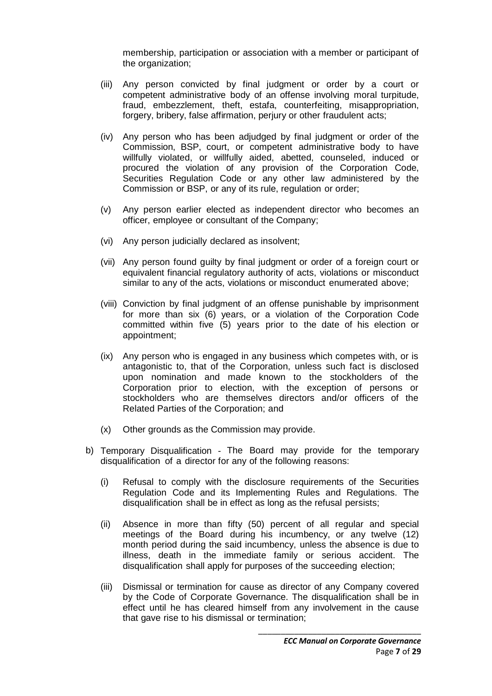membership, participation or association with a member or participant of the organization:

- (iii) Any person convicted by final judgment or order by a court or competent administrative body of an offense involving moral turpitude, fraud, embezzlement, theft, estafa, counterfeiting, misappropriation, forgery, bribery, false affirmation, perjury or other fraudulent acts;
- (iv) Any person who has been adjudged by final judgment or order of the Commission, BSP, court, or competent administrative body to have willfully violated, or willfully aided, abetted, counseled, induced or procured the violation of any provision of the Corporation Code, Securities Regulation Code or any other law administered by the Commission or BSP, or any of its rule, regulation or order;
- (v) Any person earlier elected as independent director who becomes an officer, employee or consultant of the Company;
- (vi) Any person judicially declared as insolvent;
- (vii) Any person found guilty by final judgment or order of a foreign court or equivalent financial regulatory authority of acts, violations or misconduct similar to any of the acts, violations or misconduct enumerated above;
- (viii) Conviction by final judgment of an offense punishable by imprisonment for more than six (6) years, or a violation of the Corporation Code committed within five (5) years prior to the date of his election or appointment;
- (ix) Any person who is engaged in any business which competes with, or is antagonistic to, that of the Corporation, unless such fact is disclosed upon nomination and made known to the stockholders of the Corporation prior to election, with the exception of persons or stockholders who are themselves directors and/or officers of the Related Parties of the Corporation; and
- (x) Other grounds as the Commission may provide.
- b) Temporary Disqualification The Board may provide for the temporary disqualification of a director for any of the following reasons:
	- (i) Refusal to comply with the disclosure requirements of the Securities Regulation Code and its Implementing Rules and Regulations. The disqualification shall be in effect as long as the refusal persists;
	- (ii) Absence in more than fifty (50) percent of all regular and special meetings of the Board during his incumbency, or any twelve (12) month period during the said incumbency, unless the absence is due to illness, death in the immediate family or serious accident. The disqualification shall apply for purposes of the succeeding election;
	- (iii) Dismissal or termination for cause as director of any Company covered by the Code of Corporate Governance. The disqualification shall be in effect until he has cleared himself from any involvement in the cause that gave rise to his dismissal or termination;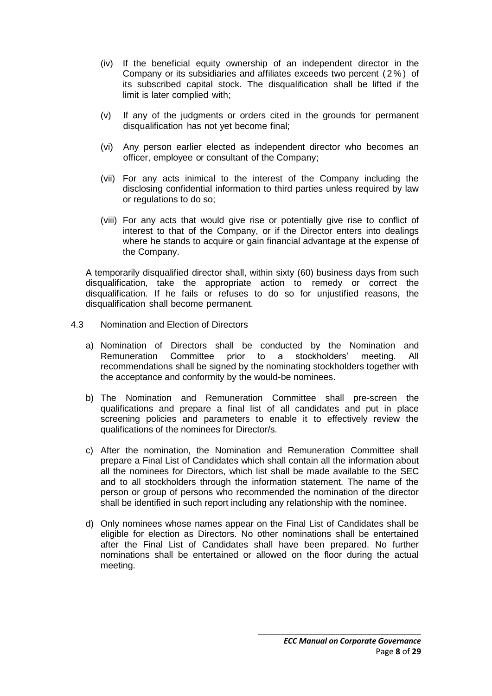- (iv) If the beneficial equity ownership of an independent director in the Company or its subsidiaries and affiliates exceeds two percent ( 2 % ) of its subscribed capital stock. The disqualification shall be lifted if the limit is later complied with;
- (v) If any of the judgments or orders cited in the grounds for permanent disqualification has not yet become final;
- (vi) Any person earlier elected as independent director who becomes an officer, employee or consultant of the Company;
- (vii) For any acts inimical to the interest of the Company including the disclosing confidential information to third parties unless required by law or regulations to do so;
- (viii) For any acts that would give rise or potentially give rise to conflict of interest to that of the Company, or if the Director enters into dealings where he stands to acquire or gain financial advantage at the expense of the Company.

A temporarily disqualified director shall, within sixty (60) business days from such disqualification, take the appropriate action to remedy or correct the disqualification. If he fails or refuses to do so for unjustified reasons, the disqualification shall become permanent.

- 4.3 Nomination and Election of Directors
	- a) Nomination of Directors shall be conducted by the Nomination and Remuneration Committee prior to a stockholders' meeting. All recommendations shall be signed by the nominating stockholders together with the acceptance and conformity by the would-be nominees.
	- b) The Nomination and Remuneration Committee shall pre-screen the qualifications and prepare a final list of all candidates and put in place screening policies and parameters to enable it to effectively review the qualifications of the nominees for Director/s.
	- c) After the nomination, the Nomination and Remuneration Committee shall prepare a Final List of Candidates which shall contain all the information about all the nominees for Directors, which list shall be made available to the SEC and to all stockholders through the information statement. The name of the person or group of persons who recommended the nomination of the director shall be identified in such report including any relationship with the nominee.
	- d) Only nominees whose names appear on the Final List of Candidates shall be eligible for election as Directors. No other nominations shall be entertained after the Final List of Candidates shall have been prepared. No further nominations shall be entertained or allowed on the floor during the actual meeting.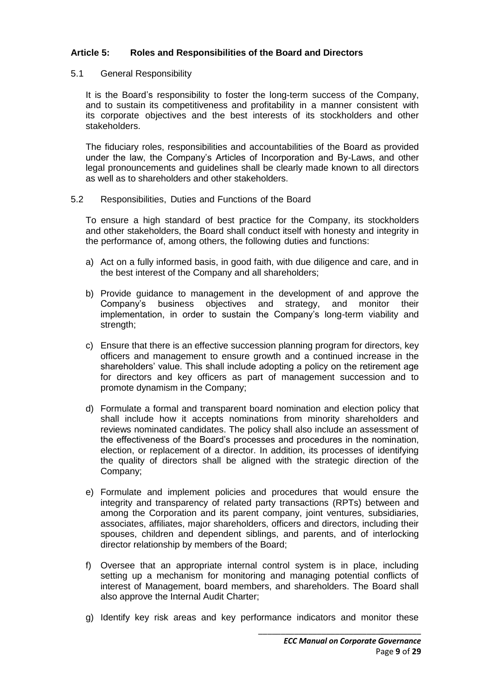# **Article 5: Roles and Responsibilities of the Board and Directors**

#### 5.1 General Responsibility

It is the Board's responsibility to foster the long-term success of the Company, and to sustain its competitiveness and profitability in a manner consistent with its corporate objectives and the best interests of its stockholders and other stakeholders.

The fiduciary roles, responsibilities and accountabilities of the Board as provided under the law, the Company's Articles of Incorporation and By-Laws, and other legal pronouncements and guidelines shall be clearly made known to all directors as well as to shareholders and other stakeholders.

#### 5.2 Responsibilities, Duties and Functions of the Board

To ensure a high standard of best practice for the Company, its stockholders and other stakeholders, the Board shall conduct itself with honesty and integrity in the performance of, among others, the following duties and functions:

- a) Act on a fully informed basis, in good faith, with due diligence and care, and in the best interest of the Company and all shareholders;
- b) Provide guidance to management in the development of and approve the Company's business objectives and strategy, and monitor their implementation, in order to sustain the Company's long-term viability and strength;
- c) Ensure that there is an effective succession planning program for directors, key officers and management to ensure growth and a continued increase in the shareholders' value. This shall include adopting a policy on the retirement age for directors and key officers as part of management succession and to promote dynamism in the Company;
- d) Formulate a formal and transparent board nomination and election policy that shall include how it accepts nominations from minority shareholders and reviews nominated candidates. The policy shall also include an assessment of the effectiveness of the Board's processes and procedures in the nomination, election, or replacement of a director. In addition, its processes of identifying the quality of directors shall be aligned with the strategic direction of the Company;
- e) Formulate and implement policies and procedures that would ensure the integrity and transparency of related party transactions (RPTs) between and among the Corporation and its parent company, joint ventures, subsidiaries, associates, affiliates, major shareholders, officers and directors, including their spouses, children and dependent siblings, and parents, and of interlocking director relationship by members of the Board;
- f) Oversee that an appropriate internal control system is in place, including setting up a mechanism for monitoring and managing potential conflicts of interest of Management, board members, and shareholders. The Board shall also approve the Internal Audit Charter;
- g) Identify key risk areas and key performance indicators and monitor these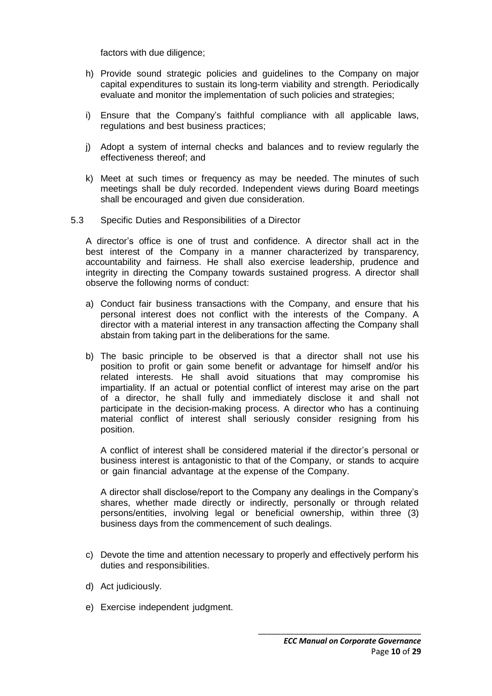factors with due diligence;

- h) Provide sound strategic policies and guidelines to the Company on major capital expenditures to sustain its long-term viability and strength. Periodically evaluate and monitor the implementation of such policies and strategies;
- i) Ensure that the Company's faithful compliance with all applicable laws, regulations and best business practices;
- j) Adopt a system of internal checks and balances and to review regularly the effectiveness thereof; and
- k) Meet at such times or frequency as may be needed. The minutes of such meetings shall be duly recorded. Independent views during Board meetings shall be encouraged and given due consideration.
- 5.3 Specific Duties and Responsibilities of a Director

A director's office is one of trust and confidence. A director shall act in the best interest of the Company in a manner characterized by transparency, accountability and fairness. He shall also exercise leadership, prudence and integrity in directing the Company towards sustained progress. A director shall observe the following norms of conduct:

- a) Conduct fair business transactions with the Company, and ensure that his personal interest does not conflict with the interests of the Company. A director with a material interest in any transaction affecting the Company shall abstain from taking part in the deliberations for the same.
- b) The basic principle to be observed is that a director shall not use his position to profit or gain some benefit or advantage for himself and/or his related interests. He shall avoid situations that may compromise his impartiality. If an actual or potential conflict of interest may arise on the part of a director, he shall fully and immediately disclose it and shall not participate in the decision-making process. A director who has a continuing material conflict of interest shall seriously consider resigning from his position.

A conflict of interest shall be considered material if the director's personal or business interest is antagonistic to that of the Company, or stands to acquire or gain financial advantage at the expense of the Company.

A director shall disclose/report to the Company any dealings in the Company's shares, whether made directly or indirectly, personally or through related persons/entities, involving legal or beneficial ownership, within three (3) business days from the commencement of such dealings.

- c) Devote the time and attention necessary to properly and effectively perform his duties and responsibilities.
- d) Act judiciously.
- e) Exercise independent judgment.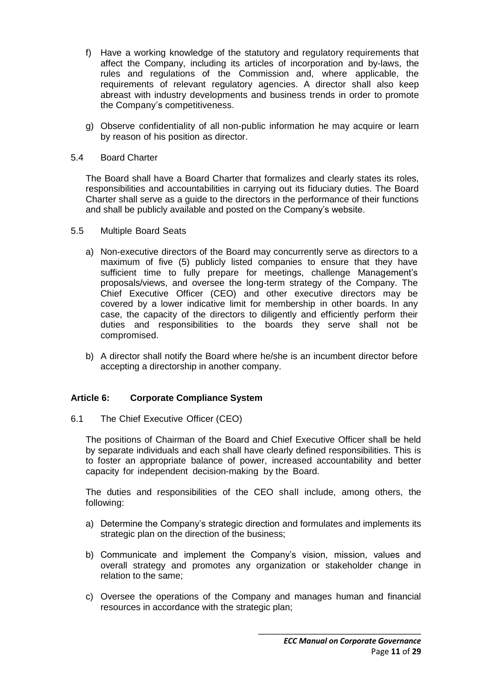- f) Have a working knowledge of the statutory and regulatory requirements that affect the Company, including its articles of incorporation and by-laws, the rules and regulations of the Commission and, where applicable, the requirements of relevant regulatory agencies. A director shall also keep abreast with industry developments and business trends in order to promote the Company's competitiveness.
- g) Observe confidentiality of all non-public information he may acquire or learn by reason of his position as director.

### 5.4 Board Charter

The Board shall have a Board Charter that formalizes and clearly states its roles, responsibilities and accountabilities in carrying out its fiduciary duties. The Board Charter shall serve as a guide to the directors in the performance of their functions and shall be publicly available and posted on the Company's website.

#### 5.5 Multiple Board Seats

- a) Non-executive directors of the Board may concurrently serve as directors to a maximum of five (5) publicly listed companies to ensure that they have sufficient time to fully prepare for meetings, challenge Management's proposals/views, and oversee the long-term strategy of the Company. The Chief Executive Officer (CEO) and other executive directors may be covered by a lower indicative limit for membership in other boards. In any case, the capacity of the directors to diligently and efficiently perform their duties and responsibilities to the boards they serve shall not be compromised.
- b) A director shall notify the Board where he/she is an incumbent director before accepting a directorship in another company.

# **Article 6: Corporate Compliance System**

6.1 The Chief Executive Officer (CEO)

The positions of Chairman of the Board and Chief Executive Officer shall be held by separate individuals and each shall have clearly defined responsibilities. This is to foster an appropriate balance of power, increased accountability and better capacity for independent decision-making by the Board.

The duties and responsibilities of the CEO shall include, among others, the following:

- a) Determine the Company's strategic direction and formulates and implements its strategic plan on the direction of the business;
- b) Communicate and implement the Company's vision, mission, values and overall strategy and promotes any organization or stakeholder change in relation to the same;
- c) Oversee the operations of the Company and manages human and financial resources in accordance with the strategic plan;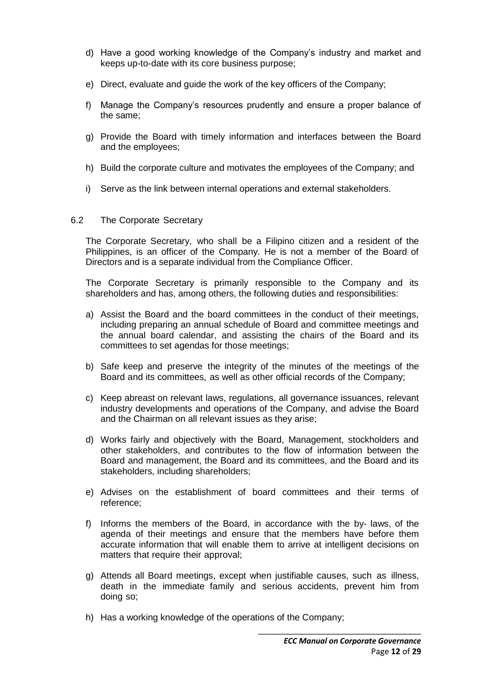- d) Have a good working knowledge of the Company's industry and market and keeps up-to-date with its core business purpose;
- e) Direct, evaluate and guide the work of the key officers of the Company;
- f) Manage the Company's resources prudently and ensure a proper balance of the same;
- g) Provide the Board with timely information and interfaces between the Board and the employees;
- h) Build the corporate culture and motivates the employees of the Company; and
- i) Serve as the link between internal operations and external stakeholders.

# 6.2 The Corporate Secretary

The Corporate Secretary, who shall be a Filipino citizen and a resident of the Philippines, is an officer of the Company. He is not a member of the Board of Directors and is a separate individual from the Compliance Officer.

The Corporate Secretary is primarily responsible to the Company and its shareholders and has, among others, the following duties and responsibilities:

- a) Assist the Board and the board committees in the conduct of their meetings, including preparing an annual schedule of Board and committee meetings and the annual board calendar, and assisting the chairs of the Board and its committees to set agendas for those meetings;
- b) Safe keep and preserve the integrity of the minutes of the meetings of the Board and its committees, as well as other official records of the Company;
- c) Keep abreast on relevant laws, regulations, all governance issuances, relevant industry developments and operations of the Company, and advise the Board and the Chairman on all relevant issues as they arise;
- d) Works fairly and objectively with the Board, Management, stockholders and other stakeholders, and contributes to the flow of information between the Board and management, the Board and its committees, and the Board and its stakeholders, including shareholders;
- e) Advises on the establishment of board committees and their terms of reference;
- f) Informs the members of the Board, in accordance with the by- laws, of the agenda of their meetings and ensure that the members have before them accurate information that will enable them to arrive at intelligent decisions on matters that require their approval;
- g) Attends all Board meetings, except when justifiable causes, such as illness, death in the immediate family and serious accidents, prevent him from doing so;
- h) Has a working knowledge of the operations of the Company;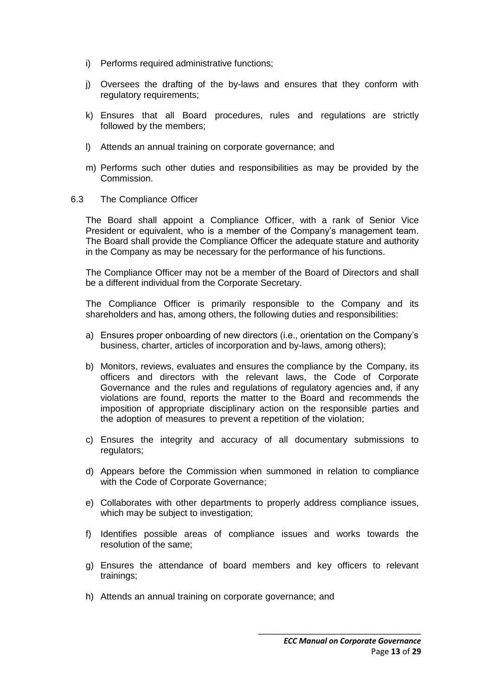- i) Performs required administrative functions:
- j) Oversees the drafting of the by-laws and ensures that they conform with regulatory requirements;
- k) Ensures that all Board procedures, rules and regulations are strictly followed by the members;
- l) Attends an annual training on corporate governance; and
- m) Performs such other duties and responsibilities as may be provided by the Commission.
- 6.3 The Compliance Officer

The Board shall appoint a Compliance Officer, with a rank of Senior Vice President or equivalent, who is a member of the Company's management team. The Board shall provide the Compliance Officer the adequate stature and authority in the Company as may be necessary for the performance of his functions.

The Compliance Officer may not be a member of the Board of Directors and shall be a different individual from the Corporate Secretary.

The Compliance Officer is primarily responsible to the Company and its shareholders and has, among others, the following duties and responsibilities:

- a) Ensures proper onboarding of new directors (i.e., orientation on the Company's business, charter, articles of incorporation and by-laws, among others);
- b) Monitors, reviews, evaluates and ensures the compliance by the Company, its officers and directors with the relevant laws, the Code of Corporate Governance and the rules and regulations of regulatory agencies and, if any violations are found, reports the matter to the Board and recommends the imposition of appropriate disciplinary action on the responsible parties and the adoption of measures to prevent a repetition of the violation;
- c) Ensures the integrity and accuracy of all documentary submissions to regulators;
- d) Appears before the Commission when summoned in relation to compliance with the Code of Corporate Governance;
- e) Collaborates with other departments to properly address compliance issues, which may be subject to investigation;
- f) Identifies possible areas of compliance issues and works towards the resolution of the same;
- g) Ensures the attendance of board members and key officers to relevant trainings;
- h) Attends an annual training on corporate governance; and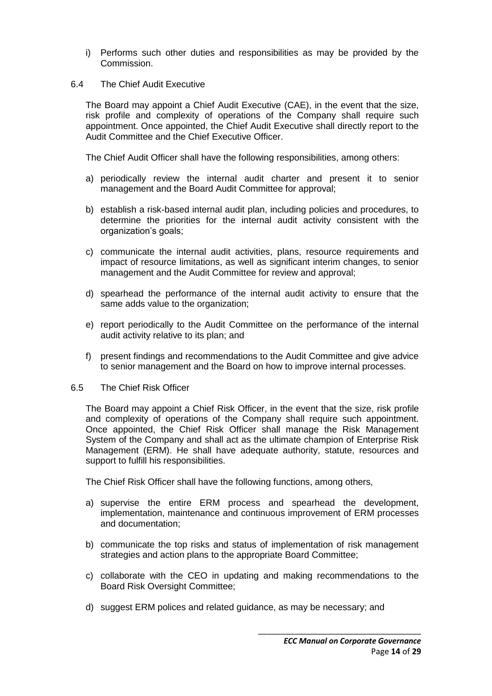i) Performs such other duties and responsibilities as may be provided by the Commission.

#### 6.4 The Chief Audit Executive

The Board may appoint a Chief Audit Executive (CAE), in the event that the size, risk profile and complexity of operations of the Company shall require such appointment. Once appointed, the Chief Audit Executive shall directly report to the Audit Committee and the Chief Executive Officer.

The Chief Audit Officer shall have the following responsibilities, among others:

- a) periodically review the internal audit charter and present it to senior management and the Board Audit Committee for approval;
- b) establish a risk-based internal audit plan, including policies and procedures, to determine the priorities for the internal audit activity consistent with the organization's goals;
- c) communicate the internal audit activities, plans, resource requirements and impact of resource limitations, as well as significant interim changes, to senior management and the Audit Committee for review and approval;
- d) spearhead the performance of the internal audit activity to ensure that the same adds value to the organization;
- e) report periodically to the Audit Committee on the performance of the internal audit activity relative to its plan; and
- f) present findings and recommendations to the Audit Committee and give advice to senior management and the Board on how to improve internal processes.
- 6.5 The Chief Risk Officer

The Board may appoint a Chief Risk Officer, in the event that the size, risk profile and complexity of operations of the Company shall require such appointment. Once appointed, the Chief Risk Officer shall manage the Risk Management System of the Company and shall act as the ultimate champion of Enterprise Risk Management (ERM). He shall have adequate authority, statute, resources and support to fulfill his responsibilities.

The Chief Risk Officer shall have the following functions, among others,

- a) supervise the entire ERM process and spearhead the development, implementation, maintenance and continuous improvement of ERM processes and documentation;
- b) communicate the top risks and status of implementation of risk management strategies and action plans to the appropriate Board Committee;
- c) collaborate with the CEO in updating and making recommendations to the Board Risk Oversight Committee;
- d) suggest ERM polices and related guidance, as may be necessary; and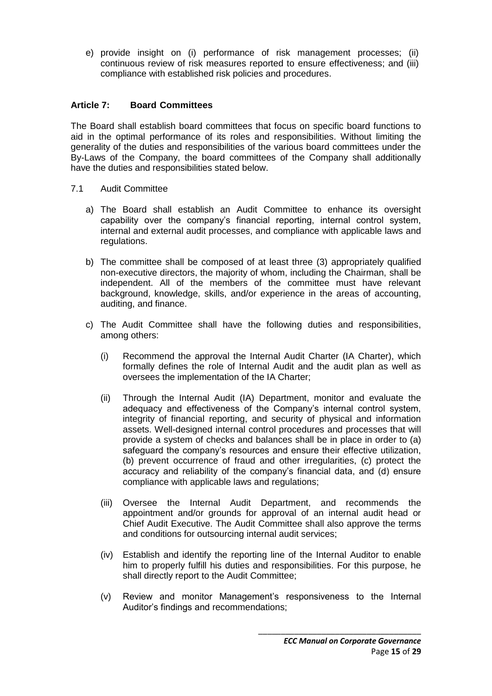e) provide insight on (i) performance of risk management processes; (ii) continuous review of risk measures reported to ensure effectiveness; and (iii) compliance with established risk policies and procedures.

# **Article 7: Board Committees**

The Board shall establish board committees that focus on specific board functions to aid in the optimal performance of its roles and responsibilities. Without limiting the generality of the duties and responsibilities of the various board committees under the By-Laws of the Company, the board committees of the Company shall additionally have the duties and responsibilities stated below.

- 7.1 Audit Committee
	- a) The Board shall establish an Audit Committee to enhance its oversight capability over the company's financial reporting, internal control system, internal and external audit processes, and compliance with applicable laws and regulations.
	- b) The committee shall be composed of at least three (3) appropriately qualified non-executive directors, the majority of whom, including the Chairman, shall be independent. All of the members of the committee must have relevant background, knowledge, skills, and/or experience in the areas of accounting, auditing, and finance.
	- c) The Audit Committee shall have the following duties and responsibilities, among others:
		- (i) Recommend the approval the Internal Audit Charter (IA Charter), which formally defines the role of Internal Audit and the audit plan as well as oversees the implementation of the IA Charter;
		- (ii) Through the Internal Audit (IA) Department, monitor and evaluate the adequacy and effectiveness of the Company's internal control system, integrity of financial reporting, and security of physical and information assets. Well-designed internal control procedures and processes that will provide a system of checks and balances shall be in place in order to (a) safeguard the company's resources and ensure their effective utilization, (b) prevent occurrence of fraud and other irregularities, (c) protect the accuracy and reliability of the company's financial data, and (d) ensure compliance with applicable laws and regulations;
		- (iii) Oversee the Internal Audit Department, and recommends the appointment and/or grounds for approval of an internal audit head or Chief Audit Executive. The Audit Committee shall also approve the terms and conditions for outsourcing internal audit services;
		- (iv) Establish and identify the reporting line of the Internal Auditor to enable him to properly fulfill his duties and responsibilities. For this purpose, he shall directly report to the Audit Committee;
		- (v) Review and monitor Management's responsiveness to the Internal Auditor's findings and recommendations;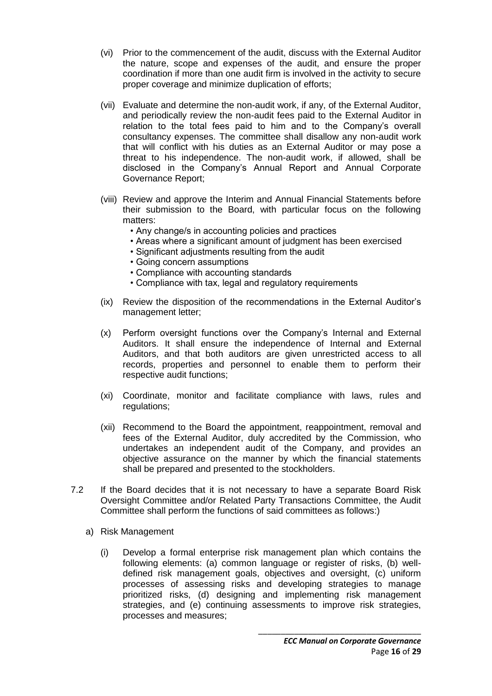- (vi) Prior to the commencement of the audit, discuss with the External Auditor the nature, scope and expenses of the audit, and ensure the proper coordination if more than one audit firm is involved in the activity to secure proper coverage and minimize duplication of efforts;
- (vii) Evaluate and determine the non-audit work, if any, of the External Auditor, and periodically review the non-audit fees paid to the External Auditor in relation to the total fees paid to him and to the Company's overall consultancy expenses. The committee shall disallow any non-audit work that will conflict with his duties as an External Auditor or may pose a threat to his independence. The non-audit work, if allowed, shall be disclosed in the Company's Annual Report and Annual Corporate Governance Report;
- (viii) Review and approve the Interim and Annual Financial Statements before their submission to the Board, with particular focus on the following matters:
	- Any change/s in accounting policies and practices
	- Areas where a significant amount of judgment has been exercised
	- Significant adjustments resulting from the audit
	- Going concern assumptions
	- Compliance with accounting standards
	- Compliance with tax, legal and regulatory requirements
- (ix) Review the disposition of the recommendations in the External Auditor's management letter;
- (x) Perform oversight functions over the Company's Internal and External Auditors. It shall ensure the independence of Internal and External Auditors, and that both auditors are given unrestricted access to all records, properties and personnel to enable them to perform their respective audit functions;
- (xi) Coordinate, monitor and facilitate compliance with laws, rules and regulations;
- (xii) Recommend to the Board the appointment, reappointment, removal and fees of the External Auditor, duly accredited by the Commission, who undertakes an independent audit of the Company, and provides an objective assurance on the manner by which the financial statements shall be prepared and presented to the stockholders.
- 7.2 If the Board decides that it is not necessary to have a separate Board Risk Oversight Committee and/or Related Party Transactions Committee, the Audit Committee shall perform the functions of said committees as follows:)
	- a) Risk Management
		- (i) Develop a formal enterprise risk management plan which contains the following elements: (a) common language or register of risks, (b) welldefined risk management goals, objectives and oversight, (c) uniform processes of assessing risks and developing strategies to manage prioritized risks, (d) designing and implementing risk management strategies, and (e) continuing assessments to improve risk strategies, processes and measures;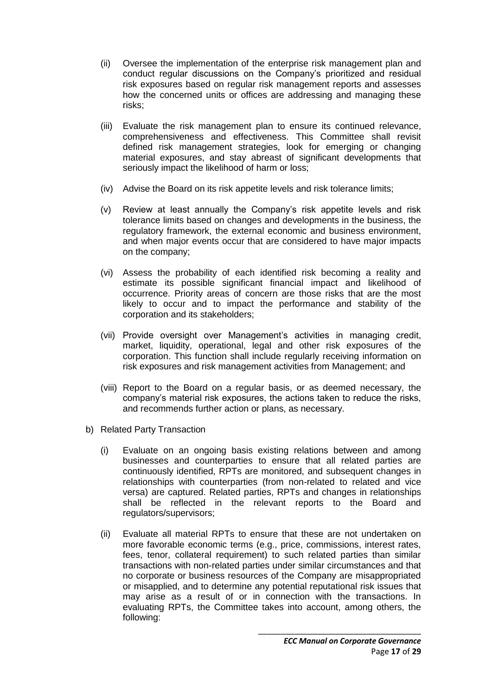- (ii) Oversee the implementation of the enterprise risk management plan and conduct regular discussions on the Company's prioritized and residual risk exposures based on regular risk management reports and assesses how the concerned units or offices are addressing and managing these risks;
- (iii) Evaluate the risk management plan to ensure its continued relevance, comprehensiveness and effectiveness. This Committee shall revisit defined risk management strategies, look for emerging or changing material exposures, and stay abreast of significant developments that seriously impact the likelihood of harm or loss;
- (iv) Advise the Board on its risk appetite levels and risk tolerance limits;
- (v) Review at least annually the Company's risk appetite levels and risk tolerance limits based on changes and developments in the business, the regulatory framework, the external economic and business environment, and when major events occur that are considered to have major impacts on the company;
- (vi) Assess the probability of each identified risk becoming a reality and estimate its possible significant financial impact and likelihood of occurrence. Priority areas of concern are those risks that are the most likely to occur and to impact the performance and stability of the corporation and its stakeholders;
- (vii) Provide oversight over Management's activities in managing credit, market, liquidity, operational, legal and other risk exposures of the corporation. This function shall include regularly receiving information on risk exposures and risk management activities from Management; and
- (viii) Report to the Board on a regular basis, or as deemed necessary, the company's material risk exposures, the actions taken to reduce the risks, and recommends further action or plans, as necessary.
- b) Related Party Transaction
	- (i) Evaluate on an ongoing basis existing relations between and among businesses and counterparties to ensure that all related parties are continuously identified, RPTs are monitored, and subsequent changes in relationships with counterparties (from non-related to related and vice versa) are captured. Related parties, RPTs and changes in relationships shall be reflected in the relevant reports to the Board and regulators/supervisors;
	- (ii) Evaluate all material RPTs to ensure that these are not undertaken on more favorable economic terms (e.g., price, commissions, interest rates, fees, tenor, collateral requirement) to such related parties than similar transactions with non-related parties under similar circumstances and that no corporate or business resources of the Company are misappropriated or misapplied, and to determine any potential reputational risk issues that may arise as a result of or in connection with the transactions. In evaluating RPTs, the Committee takes into account, among others, the following: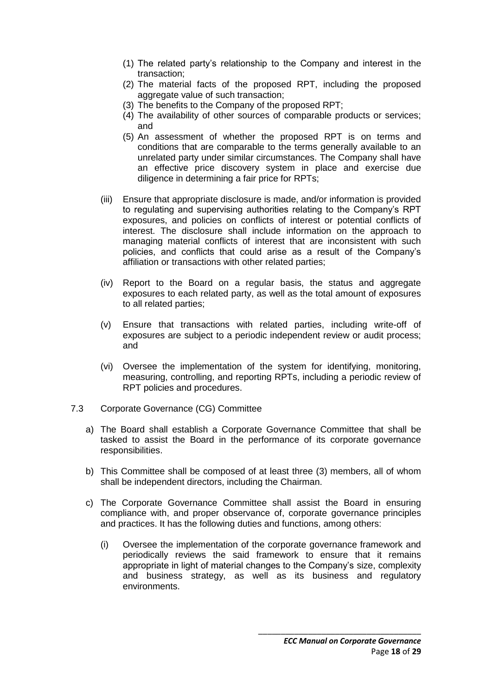- (1) The related party's relationship to the Company and interest in the transaction;
- (2) The material facts of the proposed RPT, including the proposed aggregate value of such transaction;
- (3) The benefits to the Company of the proposed RPT;
- (4) The availability of other sources of comparable products or services; and
- (5) An assessment of whether the proposed RPT is on terms and conditions that are comparable to the terms generally available to an unrelated party under similar circumstances. The Company shall have an effective price discovery system in place and exercise due diligence in determining a fair price for RPTs;
- (iii) Ensure that appropriate disclosure is made, and/or information is provided to regulating and supervising authorities relating to the Company's RPT exposures, and policies on conflicts of interest or potential conflicts of interest. The disclosure shall include information on the approach to managing material conflicts of interest that are inconsistent with such policies, and conflicts that could arise as a result of the Company's affiliation or transactions with other related parties;
- (iv) Report to the Board on a regular basis, the status and aggregate exposures to each related party, as well as the total amount of exposures to all related parties;
- (v) Ensure that transactions with related parties, including write-off of exposures are subject to a periodic independent review or audit process; and
- (vi) Oversee the implementation of the system for identifying, monitoring, measuring, controlling, and reporting RPTs, including a periodic review of RPT policies and procedures.
- 7.3 Corporate Governance (CG) Committee
	- a) The Board shall establish a Corporate Governance Committee that shall be tasked to assist the Board in the performance of its corporate governance responsibilities.
	- b) This Committee shall be composed of at least three (3) members, all of whom shall be independent directors, including the Chairman.
	- c) The Corporate Governance Committee shall assist the Board in ensuring compliance with, and proper observance of, corporate governance principles and practices. It has the following duties and functions, among others:
		- (i) Oversee the implementation of the corporate governance framework and periodically reviews the said framework to ensure that it remains appropriate in light of material changes to the Company's size, complexity and business strategy, as well as its business and regulatory environments.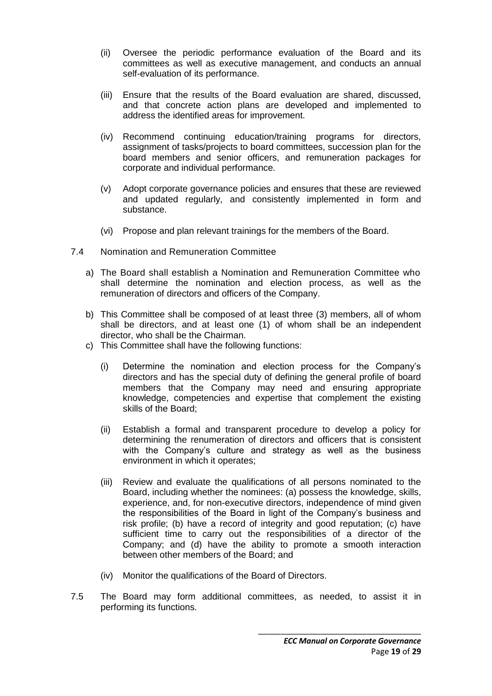- (ii) Oversee the periodic performance evaluation of the Board and its committees as well as executive management, and conducts an annual self-evaluation of its performance.
- (iii) Ensure that the results of the Board evaluation are shared, discussed, and that concrete action plans are developed and implemented to address the identified areas for improvement.
- (iv) Recommend continuing education/training programs for directors, assignment of tasks/projects to board committees, succession plan for the board members and senior officers, and remuneration packages for corporate and individual performance.
- (v) Adopt corporate governance policies and ensures that these are reviewed and updated regularly, and consistently implemented in form and substance.
- (vi) Propose and plan relevant trainings for the members of the Board.
- 7.4 Nomination and Remuneration Committee
	- a) The Board shall establish a Nomination and Remuneration Committee who shall determine the nomination and election process, as well as the remuneration of directors and officers of the Company.
	- b) This Committee shall be composed of at least three (3) members, all of whom shall be directors, and at least one (1) of whom shall be an independent director, who shall be the Chairman.
	- c) This Committee shall have the following functions:
		- (i) Determine the nomination and election process for the Company's directors and has the special duty of defining the general profile of board members that the Company may need and ensuring appropriate knowledge, competencies and expertise that complement the existing skills of the Board;
		- (ii) Establish a formal and transparent procedure to develop a policy for determining the renumeration of directors and officers that is consistent with the Company's culture and strategy as well as the business environment in which it operates;
		- (iii) Review and evaluate the qualifications of all persons nominated to the Board, including whether the nominees: (a) possess the knowledge, skills, experience, and, for non-executive directors, independence of mind given the responsibilities of the Board in light of the Company's business and risk profile; (b) have a record of integrity and good reputation; (c) have sufficient time to carry out the responsibilities of a director of the Company; and (d) have the ability to promote a smooth interaction between other members of the Board; and
		- (iv) Monitor the qualifications of the Board of Directors.
- 7.5 The Board may form additional committees, as needed, to assist it in performing its functions.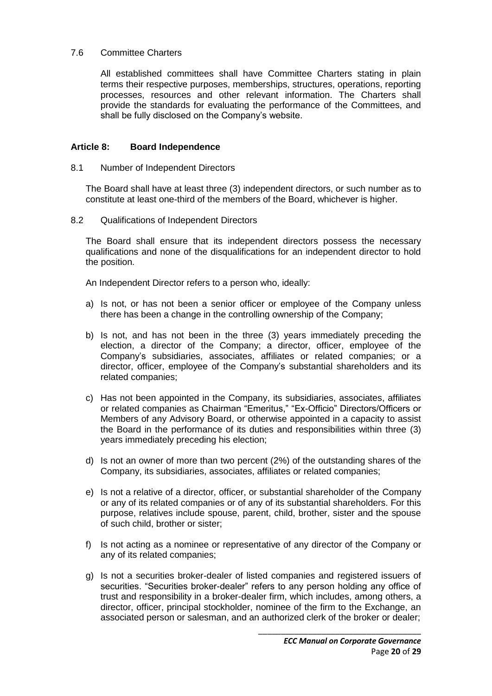#### 7.6 Committee Charters

All established committees shall have Committee Charters stating in plain terms their respective purposes, memberships, structures, operations, reporting processes, resources and other relevant information. The Charters shall provide the standards for evaluating the performance of the Committees, and shall be fully disclosed on the Company's website.

# **Article 8: Board Independence**

#### 8.1 Number of Independent Directors

The Board shall have at least three (3) independent directors, or such number as to constitute at least one-third of the members of the Board, whichever is higher.

8.2 Qualifications of Independent Directors

The Board shall ensure that its independent directors possess the necessary qualifications and none of the disqualifications for an independent director to hold the position.

An Independent Director refers to a person who, ideally:

- a) Is not, or has not been a senior officer or employee of the Company unless there has been a change in the controlling ownership of the Company;
- b) Is not, and has not been in the three (3) years immediately preceding the election, a director of the Company; a director, officer, employee of the Company's subsidiaries, associates, affiliates or related companies; or a director, officer, employee of the Company's substantial shareholders and its related companies;
- c) Has not been appointed in the Company, its subsidiaries, associates, affiliates or related companies as Chairman "Emeritus," "Ex-Officio" Directors/Officers or Members of any Advisory Board, or otherwise appointed in a capacity to assist the Board in the performance of its duties and responsibilities within three (3) years immediately preceding his election;
- d) Is not an owner of more than two percent (2%) of the outstanding shares of the Company, its subsidiaries, associates, affiliates or related companies;
- e) Is not a relative of a director, officer, or substantial shareholder of the Company or any of its related companies or of any of its substantial shareholders. For this purpose, relatives include spouse, parent, child, brother, sister and the spouse of such child, brother or sister;
- f) Is not acting as a nominee or representative of any director of the Company or any of its related companies;
- g) Is not a securities broker-dealer of listed companies and registered issuers of securities. "Securities broker-dealer" refers to any person holding any office of trust and responsibility in a broker-dealer firm, which includes, among others, a director, officer, principal stockholder, nominee of the firm to the Exchange, an associated person or salesman, and an authorized clerk of the broker or dealer;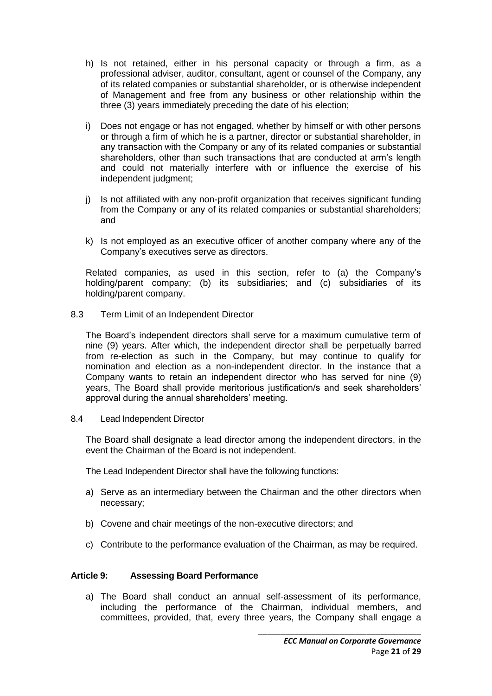- h) Is not retained, either in his personal capacity or through a firm, as a professional adviser, auditor, consultant, agent or counsel of the Company, any of its related companies or substantial shareholder, or is otherwise independent of Management and free from any business or other relationship within the three (3) years immediately preceding the date of his election;
- i) Does not engage or has not engaged, whether by himself or with other persons or through a firm of which he is a partner, director or substantial shareholder, in any transaction with the Company or any of its related companies or substantial shareholders, other than such transactions that are conducted at arm's length and could not materially interfere with or influence the exercise of his independent judgment;
- j) Is not affiliated with any non-profit organization that receives significant funding from the Company or any of its related companies or substantial shareholders; and
- k) Is not employed as an executive officer of another company where any of the Company's executives serve as directors.

Related companies, as used in this section, refer to (a) the Company's holding/parent company; (b) its subsidiaries; and (c) subsidiaries of its holding/parent company.

8.3 Term Limit of an Independent Director

The Board's independent directors shall serve for a maximum cumulative term of nine (9) years. After which, the independent director shall be perpetually barred from re-election as such in the Company, but may continue to qualify for nomination and election as a non-independent director. In the instance that a Company wants to retain an independent director who has served for nine (9) years, The Board shall provide meritorious justification/s and seek shareholders' approval during the annual shareholders' meeting.

8.4 Lead Independent Director

The Board shall designate a lead director among the independent directors, in the event the Chairman of the Board is not independent.

The Lead Independent Director shall have the following functions:

- a) Serve as an intermediary between the Chairman and the other directors when necessary;
- b) Covene and chair meetings of the non-executive directors; and
- c) Contribute to the performance evaluation of the Chairman, as may be required.

#### **Article 9: Assessing Board Performance**

a) The Board shall conduct an annual self-assessment of its performance, including the performance of the Chairman, individual members, and committees, provided, that, every three years, the Company shall engage a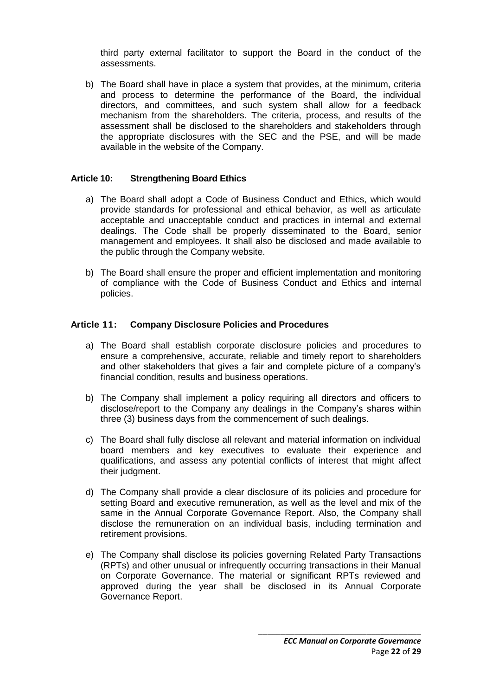third party external facilitator to support the Board in the conduct of the assessments.

b) The Board shall have in place a system that provides, at the minimum, criteria and process to determine the performance of the Board, the individual directors, and committees, and such system shall allow for a feedback mechanism from the shareholders. The criteria, process, and results of the assessment shall be disclosed to the shareholders and stakeholders through the appropriate disclosures with the SEC and the PSE, and will be made available in the website of the Company.

#### **Article 10: Strengthening Board Ethics**

- a) The Board shall adopt a Code of Business Conduct and Ethics, which would provide standards for professional and ethical behavior, as well as articulate acceptable and unacceptable conduct and practices in internal and external dealings. The Code shall be properly disseminated to the Board, senior management and employees. It shall also be disclosed and made available to the public through the Company website.
- b) The Board shall ensure the proper and efficient implementation and monitoring of compliance with the Code of Business Conduct and Ethics and internal policies.

#### **Article 11: Company Disclosure Policies and Procedures**

- a) The Board shall establish corporate disclosure policies and procedures to ensure a comprehensive, accurate, reliable and timely report to shareholders and other stakeholders that gives a fair and complete picture of a company's financial condition, results and business operations.
- b) The Company shall implement a policy requiring all directors and officers to disclose/report to the Company any dealings in the Company's shares within three (3) business days from the commencement of such dealings.
- c) The Board shall fully disclose all relevant and material information on individual board members and key executives to evaluate their experience and qualifications, and assess any potential conflicts of interest that might affect their judgment.
- d) The Company shall provide a clear disclosure of its policies and procedure for setting Board and executive remuneration, as well as the level and mix of the same in the Annual Corporate Governance Report. Also, the Company shall disclose the remuneration on an individual basis, including termination and retirement provisions.
- e) The Company shall disclose its policies governing Related Party Transactions (RPTs) and other unusual or infrequently occurring transactions in their Manual on Corporate Governance. The material or significant RPTs reviewed and approved during the year shall be disclosed in its Annual Corporate Governance Report.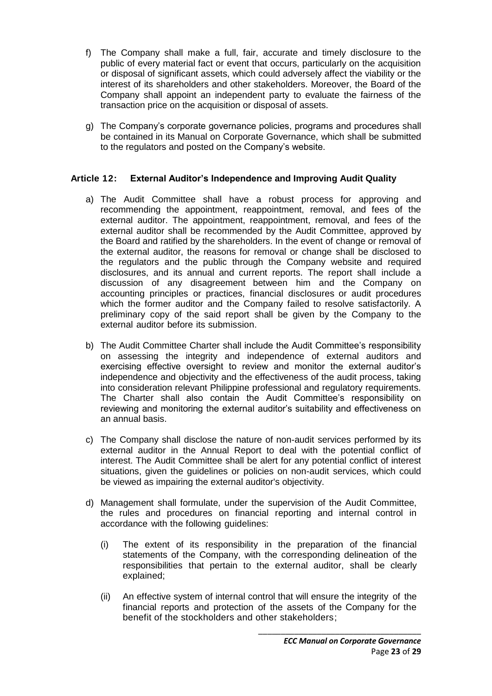- f) The Company shall make a full, fair, accurate and timely disclosure to the public of every material fact or event that occurs, particularly on the acquisition or disposal of significant assets, which could adversely affect the viability or the interest of its shareholders and other stakeholders. Moreover, the Board of the Company shall appoint an independent party to evaluate the fairness of the transaction price on the acquisition or disposal of assets.
- g) The Company's corporate governance policies, programs and procedures shall be contained in its Manual on Corporate Governance, which shall be submitted to the regulators and posted on the Company's website.

# **Article 12: External Auditor's Independence and Improving Audit Quality**

- a) The Audit Committee shall have a robust process for approving and recommending the appointment, reappointment, removal, and fees of the external auditor. The appointment, reappointment, removal, and fees of the external auditor shall be recommended by the Audit Committee, approved by the Board and ratified by the shareholders. In the event of change or removal of the external auditor, the reasons for removal or change shall be disclosed to the regulators and the public through the Company website and required disclosures, and its annual and current reports. The report shall include a discussion of any disagreement between him and the Company on accounting principles or practices, financial disclosures or audit procedures which the former auditor and the Company failed to resolve satisfactorily. A preliminary copy of the said report shall be given by the Company to the external auditor before its submission.
- b) The Audit Committee Charter shall include the Audit Committee's responsibility on assessing the integrity and independence of external auditors and exercising effective oversight to review and monitor the external auditor's independence and objectivity and the effectiveness of the audit process, taking into consideration relevant Philippine professional and regulatory requirements. The Charter shall also contain the Audit Committee's responsibility on reviewing and monitoring the external auditor's suitability and effectiveness on an annual basis.
- c) The Company shall disclose the nature of non-audit services performed by its external auditor in the Annual Report to deal with the potential conflict of interest. The Audit Committee shall be alert for any potential conflict of interest situations, given the guidelines or policies on non-audit services, which could be viewed as impairing the external auditor's objectivity.
- d) Management shall formulate, under the supervision of the Audit Committee, the rules and procedures on financial reporting and internal control in accordance with the following guidelines:
	- (i) The extent of its responsibility in the preparation of the financial statements of the Company, with the corresponding delineation of the responsibilities that pertain to the external auditor, shall be clearly explained;
	- (ii) An effective system of internal control that will ensure the integrity of the financial reports and protection of the assets of the Company for the benefit of the stockholders and other stakeholders;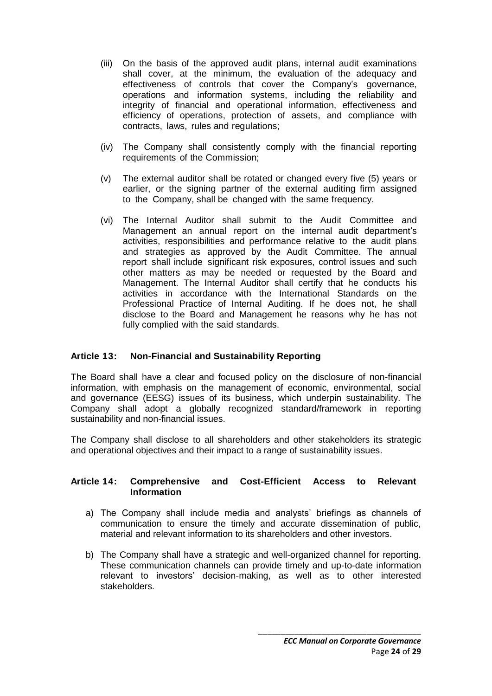- (iii) On the basis of the approved audit plans, internal audit examinations shall cover, at the minimum, the evaluation of the adequacy and effectiveness of controls that cover the Company's governance, operations and information systems, including the reliability and integrity of financial and operational information, effectiveness and efficiency of operations, protection of assets, and compliance with contracts, laws, rules and regulations;
- (iv) The Company shall consistently comply with the financial reporting requirements of the Commission;
- (v) The external auditor shall be rotated or changed every five (5) years or earlier, or the signing partner of the external auditing firm assigned to the Company, shall be changed with the same frequency.
- (vi) The Internal Auditor shall submit to the Audit Committee and Management an annual report on the internal audit department's activities, responsibilities and performance relative to the audit plans and strategies as approved by the Audit Committee. The annual report shall include significant risk exposures, control issues and such other matters as may be needed or requested by the Board and Management. The Internal Auditor shall certify that he conducts his activities in accordance with the International Standards on the Professional Practice of Internal Auditing. If he does not, he shall disclose to the Board and Management he reasons why he has not fully complied with the said standards.

# **Article 13: Non-Financial and Sustainability Reporting**

The Board shall have a clear and focused policy on the disclosure of non-financial information, with emphasis on the management of economic, environmental, social and governance (EESG) issues of its business, which underpin sustainability. The Company shall adopt a globally recognized standard/framework in reporting sustainability and non-financial issues.

The Company shall disclose to all shareholders and other stakeholders its strategic and operational objectives and their impact to a range of sustainability issues.

#### **Article 14: Comprehensive and Cost-Efficient Access to Relevant Information**

- a) The Company shall include media and analysts' briefings as channels of communication to ensure the timely and accurate dissemination of public, material and relevant information to its shareholders and other investors.
- b) The Company shall have a strategic and well-organized channel for reporting. These communication channels can provide timely and up-to-date information relevant to investors' decision-making, as well as to other interested stakeholders.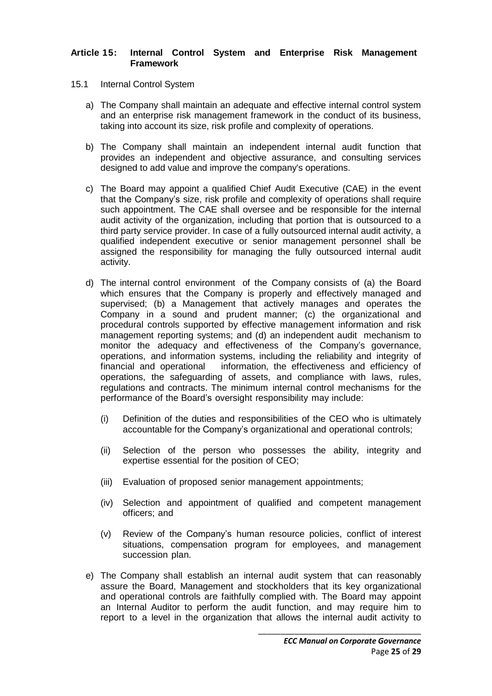#### **Article 15: Internal Control System and Enterprise Risk Management Framework**

- 15.1 Internal Control System
	- a) The Company shall maintain an adequate and effective internal control system and an enterprise risk management framework in the conduct of its business, taking into account its size, risk profile and complexity of operations.
	- b) The Company shall maintain an independent internal audit function that provides an independent and objective assurance, and consulting services designed to add value and improve the company's operations.
	- c) The Board may appoint a qualified Chief Audit Executive (CAE) in the event that the Company's size, risk profile and complexity of operations shall require such appointment. The CAE shall oversee and be responsible for the internal audit activity of the organization, including that portion that is outsourced to a third party service provider. In case of a fully outsourced internal audit activity, a qualified independent executive or senior management personnel shall be assigned the responsibility for managing the fully outsourced internal audit activity.
	- d) The internal control environment of the Company consists of (a) the Board which ensures that the Company is properly and effectively managed and supervised; (b) a Management that actively manages and operates the Company in a sound and prudent manner; (c) the organizational and procedural controls supported by effective management information and risk management reporting systems; and (d) an independent audit mechanism to monitor the adequacy and effectiveness of the Company's governance, operations, and information systems, including the reliability and integrity of financial and operational information, the effectiveness and efficiency of operations, the safeguarding of assets, and compliance with laws, rules, regulations and contracts. The minimum internal control mechanisms for the performance of the Board's oversight responsibility may include:
		- (i) Definition of the duties and responsibilities of the CEO who is ultimately accountable for the Company's organizational and operational controls;
		- (ii) Selection of the person who possesses the ability, integrity and expertise essential for the position of CEO;
		- (iii) Evaluation of proposed senior management appointments;
		- (iv) Selection and appointment of qualified and competent management officers; and
		- (v) Review of the Company's human resource policies, conflict of interest situations, compensation program for employees, and management succession plan.
	- e) The Company shall establish an internal audit system that can reasonably assure the Board, Management and stockholders that its key organizational and operational controls are faithfully complied with. The Board may appoint an Internal Auditor to perform the audit function, and may require him to report to a level in the organization that allows the internal audit activity to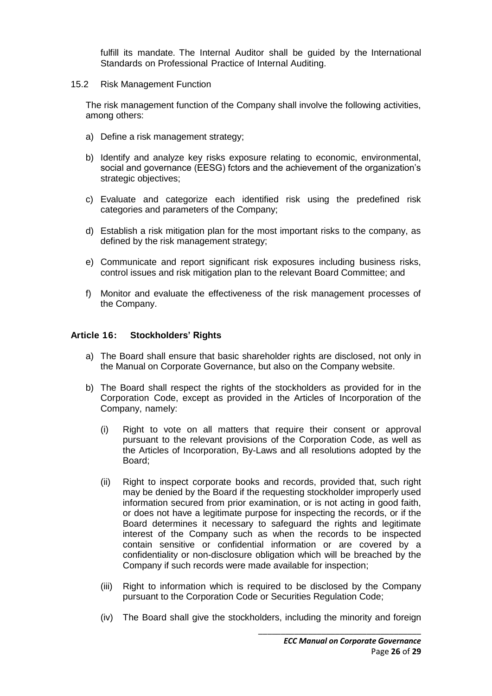fulfill its mandate. The Internal Auditor shall be guided by the International Standards on Professional Practice of Internal Auditing.

15.2 Risk Management Function

The risk management function of the Company shall involve the following activities, among others:

- a) Define a risk management strategy;
- b) Identify and analyze key risks exposure relating to economic, environmental, social and governance (EESG) fctors and the achievement of the organization's strategic objectives;
- c) Evaluate and categorize each identified risk using the predefined risk categories and parameters of the Company;
- d) Establish a risk mitigation plan for the most important risks to the company, as defined by the risk management strategy;
- e) Communicate and report significant risk exposures including business risks, control issues and risk mitigation plan to the relevant Board Committee; and
- f) Monitor and evaluate the effectiveness of the risk management processes of the Company.

#### **Article 16: Stockholders' Rights**

- a) The Board shall ensure that basic shareholder rights are disclosed, not only in the Manual on Corporate Governance, but also on the Company website.
- b) The Board shall respect the rights of the stockholders as provided for in the Corporation Code, except as provided in the Articles of Incorporation of the Company, namely:
	- (i) Right to vote on all matters that require their consent or approval pursuant to the relevant provisions of the Corporation Code, as well as the Articles of Incorporation, By-Laws and all resolutions adopted by the Board;
	- (ii) Right to inspect corporate books and records, provided that, such right may be denied by the Board if the requesting stockholder improperly used information secured from prior examination, or is not acting in good faith, or does not have a legitimate purpose for inspecting the records, or if the Board determines it necessary to safeguard the rights and legitimate interest of the Company such as when the records to be inspected contain sensitive or confidential information or are covered by a confidentiality or non-disclosure obligation which will be breached by the Company if such records were made available for inspection;
	- (iii) Right to information which is required to be disclosed by the Company pursuant to the Corporation Code or Securities Regulation Code;
	- (iv) The Board shall give the stockholders, including the minority and foreign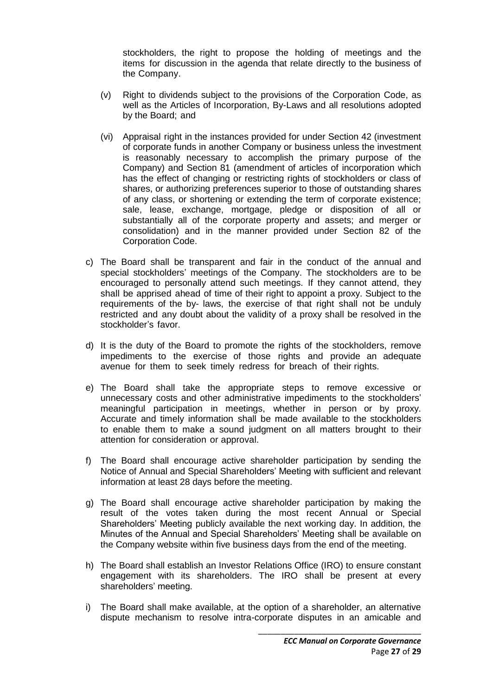stockholders, the right to propose the holding of meetings and the items for discussion in the agenda that relate directly to the business of the Company.

- (v) Right to dividends subject to the provisions of the Corporation Code, as well as the Articles of Incorporation, By-Laws and all resolutions adopted by the Board; and
- (vi) Appraisal right in the instances provided for under Section 42 (investment of corporate funds in another Company or business unless the investment is reasonably necessary to accomplish the primary purpose of the Company) and Section 81 (amendment of articles of incorporation which has the effect of changing or restricting rights of stockholders or class of shares, or authorizing preferences superior to those of outstanding shares of any class, or shortening or extending the term of corporate existence; sale, lease, exchange, mortgage, pledge or disposition of all or substantially all of the corporate property and assets; and merger or consolidation) and in the manner provided under Section 82 of the Corporation Code.
- c) The Board shall be transparent and fair in the conduct of the annual and special stockholders' meetings of the Company. The stockholders are to be encouraged to personally attend such meetings. If they cannot attend, they shall be apprised ahead of time of their right to appoint a proxy. Subject to the requirements of the by- laws, the exercise of that right shall not be unduly restricted and any doubt about the validity of a proxy shall be resolved in the stockholder's favor.
- d) It is the duty of the Board to promote the rights of the stockholders, remove impediments to the exercise of those rights and provide an adequate avenue for them to seek timely redress for breach of their rights.
- e) The Board shall take the appropriate steps to remove excessive or unnecessary costs and other administrative impediments to the stockholders' meaningful participation in meetings, whether in person or by proxy. Accurate and timely information shall be made available to the stockholders to enable them to make a sound judgment on all matters brought to their attention for consideration or approval.
- f) The Board shall encourage active shareholder participation by sending the Notice of Annual and Special Shareholders' Meeting with sufficient and relevant information at least 28 days before the meeting.
- g) The Board shall encourage active shareholder participation by making the result of the votes taken during the most recent Annual or Special Shareholders' Meeting publicly available the next working day. In addition, the Minutes of the Annual and Special Shareholders' Meeting shall be available on the Company website within five business days from the end of the meeting.
- h) The Board shall establish an Investor Relations Office (IRO) to ensure constant engagement with its shareholders. The IRO shall be present at every shareholders' meeting.
- i) The Board shall make available, at the option of a shareholder, an alternative dispute mechanism to resolve intra-corporate disputes in an amicable and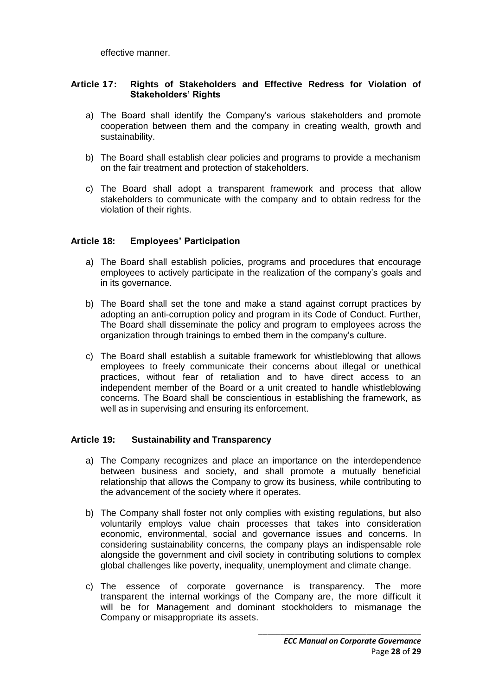effective manner.

### **Article 17: Rights of Stakeholders and Effective Redress for Violation of Stakeholders' Rights**

- a) The Board shall identify the Company's various stakeholders and promote cooperation between them and the company in creating wealth, growth and sustainability.
- b) The Board shall establish clear policies and programs to provide a mechanism on the fair treatment and protection of stakeholders.
- c) The Board shall adopt a transparent framework and process that allow stakeholders to communicate with the company and to obtain redress for the violation of their rights.

# **Article 18: Employees' Participation**

- a) The Board shall establish policies, programs and procedures that encourage employees to actively participate in the realization of the company's goals and in its governance.
- b) The Board shall set the tone and make a stand against corrupt practices by adopting an anti-corruption policy and program in its Code of Conduct. Further, The Board shall disseminate the policy and program to employees across the organization through trainings to embed them in the company's culture.
- c) The Board shall establish a suitable framework for whistleblowing that allows employees to freely communicate their concerns about illegal or unethical practices, without fear of retaliation and to have direct access to an independent member of the Board or a unit created to handle whistleblowing concerns. The Board shall be conscientious in establishing the framework, as well as in supervising and ensuring its enforcement.

#### **Article 19: Sustainability and Transparency**

- a) The Company recognizes and place an importance on the interdependence between business and society, and shall promote a mutually beneficial relationship that allows the Company to grow its business, while contributing to the advancement of the society where it operates.
- b) The Company shall foster not only complies with existing regulations, but also voluntarily employs value chain processes that takes into consideration economic, environmental, social and governance issues and concerns. In considering sustainability concerns, the company plays an indispensable role alongside the government and civil society in contributing solutions to complex global challenges like poverty, inequality, unemployment and climate change.
- c) The essence of corporate governance is transparency. The more transparent the internal workings of the Company are, the more difficult it will be for Management and dominant stockholders to mismanage the Company or misappropriate its assets.